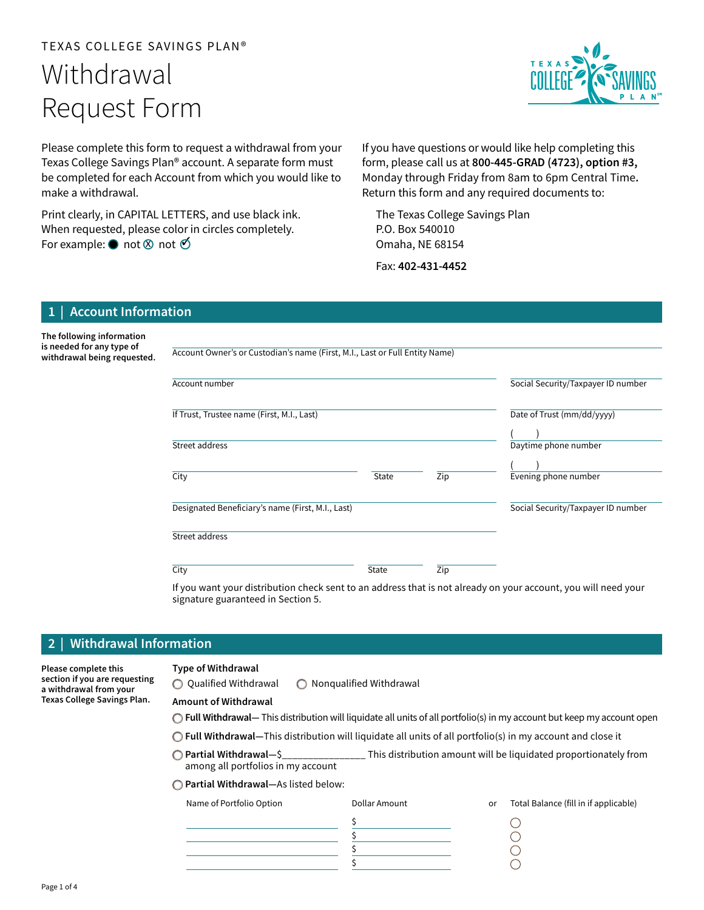# TEXAS COLLEGE SAVINGS PLAN® Withdrawal Request Form

Please complete this form to request a withdrawal from your Texas College Savings Plan® account. A separate form must be completed for each Account from which you would like to make a withdrawal.

Print clearly, in CAPITAL LETTERS, and use black ink. When requested, please color in circles completely. For example:  $\bullet$  not  $\otimes$  not  $\circlearrowleft$ 

If you have questions or would like help completing this form, please call us at 800-445-GRAD  $(4723)$ , option #3, Monday through Friday from 8am to 6pm Central Time. Return this form and any required documents to:

The Texas College Savings Plan P.O. Box 540010 Omaha, NE 68154

Fax: 402-431-4452

# **Account Information**

The following information is needed for any type of withdrawal being requested.

Account Owner's or Custodian's name (First, M.I., Last or Full Entity Name)

| Account number                                    |              |     | Social Security/Taxpayer ID number |
|---------------------------------------------------|--------------|-----|------------------------------------|
| If Trust, Trustee name (First, M.I., Last)        |              |     | Date of Trust (mm/dd/yyyy)         |
| Street address                                    |              |     | Daytime phone number               |
| City                                              | <b>State</b> | Zip | Evening phone number               |
| Designated Beneficiary's name (First, M.I., Last) |              |     | Social Security/Taxpayer ID number |
| Street address                                    |              |     |                                    |
| City                                              | <b>State</b> | Zip |                                    |

If you want your distribution check sent to an address that is not already on your account, you will need your signature guaranteed in Section 5.

# 2 | Withdrawal Information

Please complete this section if you are requesting a withdrawal from your Texas College Savings Plan.

#### **Type of Withdrawal**

 $\bigcirc$  Qualified Withdrawal  $\bigcirc$  Nonqualified Withdrawal

#### Amount of Withdrawal

 $\bigcirc$  Full Withdrawal— This distribution will liquidate all units of all portfolio(s) in my account but keep my account open

 $\bigcirc$  Full Withdrawal—This distribution will liquidate all units of all portfolio(s) in my account and close it

- \$\_\_\_\_\_\_\_\_\_\_\_\_\_\_\_\_\_\_\_\_\_\_ Partial Withdrawal— This distribution amount will be liquidated proportionately from among all portfolios in my account
- ◯ Partial Withdrawal-As listed below:

| Name of Portfolio Option | Dollar Amount | or | Total Balance (fill in if applicable) |
|--------------------------|---------------|----|---------------------------------------|
|                          |               |    |                                       |
|                          |               |    |                                       |
|                          |               |    |                                       |
|                          |               |    |                                       |

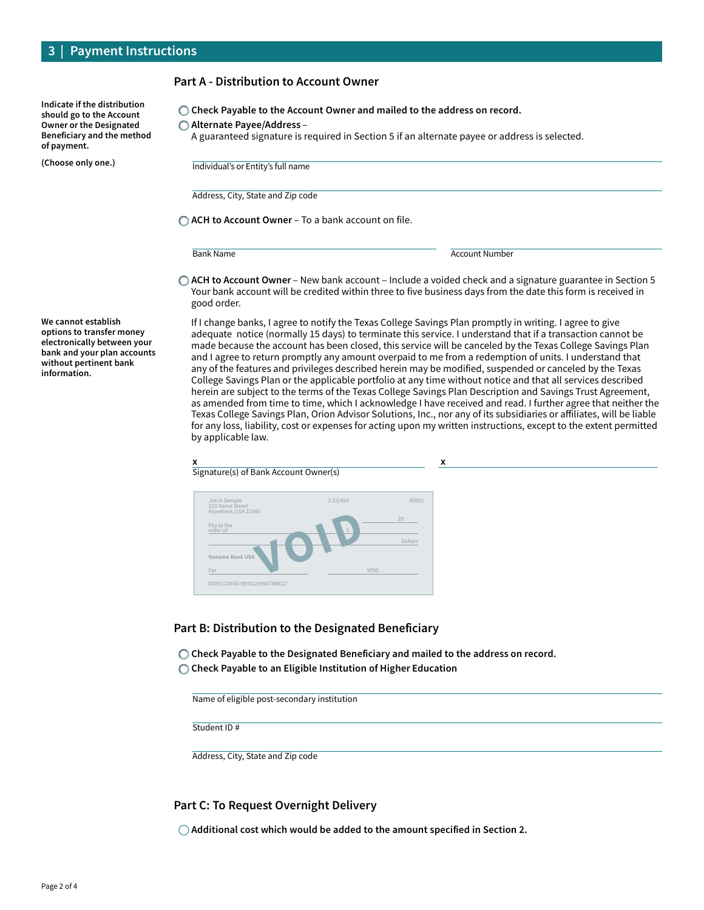| Indicate if the distribution   |
|--------------------------------|
| should go to the Account       |
| <b>Owner or the Designated</b> |
| Beneficiary and the method     |
| of payment.                    |

(Choose only one.)

#### Part A - Distribution to Account Owner

 $\bigcirc$  Check Payable to the Account Owner and mailed to the address on record.

◯ Alternate Payee/Address –

A guaranteed signature is required in Section 5 if an alternate payee or address is selected.

Individual's or Entity's full name

Address, City, State and Zip code

 $\bigcirc$  ACH to Account Owner – To a bank account on file.

**Bank Name** Account Number

 $\bigcirc$  ACH to Account Owner – New bank account – Include a voided check and a signature guarantee in Section 5 Your bank account will be credited within three to five business days from the date this form is received in good order.

If I change banks, I agree to notify the Texas College Savings Plan promptly in writing. I agree to give adequate notice (normally 15 days) to terminate this service. I understand that if a transaction cannot be made because the account has been closed, this service will be canceled by the Texas College Savings Plan and I agree to return promptly any amount overpaid to me from a redemption of units. I understand that any of the features and privileges described herein may be modified, suspended or canceled by the Texas College Savings Plan or the applicable portfolio at any time without notice and that all services described herein are subject to the terms of the Texas College Savings Plan Description and Savings Trust Agreement, as amended from time to time, which I acknowledge I have received and read. I further agree that neither the Texas College Savings Plan, Orion Advisor Solutions, Inc., nor any of its subsidiaries or affiliates, will be liable for any loss, liability, cost or expenses for acting upon my written instructions, except to the extent permitted by applicable law.

### $x \rightarrow x$ Signature(s) of Bank Account Owner(s) Pay to the order of \$ For VOID 00001:23456789:0123456789012" Jim A Sample 123 Name Street Anywhere, USA 12345 1-23/456 00001 Pay to the<br>Pay to the<br>Noname Bank USA<br>For

## Part B: Distribution to the Designated Beneficiary

 $\bigcirc$  Check Payable to the Designated Beneficiary and mailed to the address on record.

C Check Payable to an Eligible Institution of Higher Education

Name of eligible post-secondary institution

Student ID #

Address, City, State and Zip code

# Part C: To Request Overnight Delivery

 $\bigcirc$  Additional cost which would be added to the amount specified in Section 2.

We cannot establish options to transfer money electronically between your bank and your plan accounts without pertinent bank information.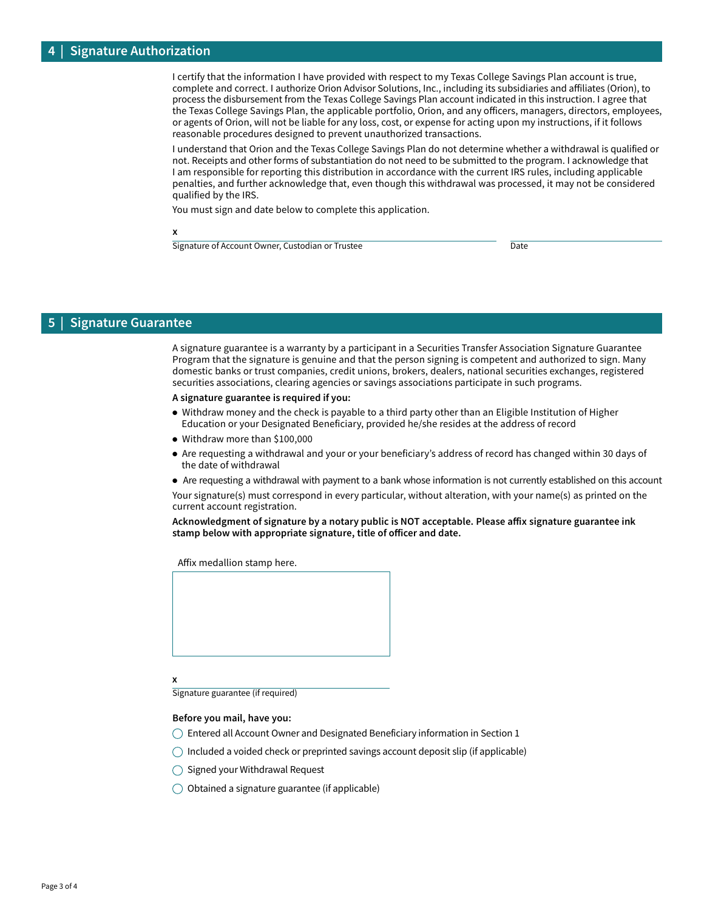I certify that the information I have provided with respect to my Texas College Savings Plan account is true, complete and correct. I authorize Orion Advisor Solutions, Inc., including its subsidiaries and affiliates (Orion), to process the disbursement from the Texas College Savings Plan account indicated in this instruction. I agree that the Texas College Savings Plan, the applicable portfolio, Orion, and any officers, managers, directors, employees, or agents of Orion, will not be liable for any loss, cost, or expense for acting upon my instructions, if it follows reasonable procedures designed to prevent unauthorized transactions.

I understand that Orion and the Texas College Savings Plan do not determine whether a withdrawal is qualified or not. Receipts and other forms of substantiation do not need to be submitted to the program. I acknowledge that I am responsible for reporting this distribution in accordance with the current IRS rules, including applicable penalties, and further acknowledge that, even though this withdrawal was processed, it may not be considered qualified by the IRS.

You must sign and date below to complete this application.

x

Signature of Account Owner, Custodian or Trustee Date

## **Signature Guarantee**

A signature guarantee is a warranty by a participant in a Securities Transfer Association Signature Guarantee Program that the signature is genuine and that the person signing is competent and authorized to sign. Many domestic banks or trust companies, credit unions, brokers, dealers, national securities exchanges, registered securities associations, clearing agencies or savings associations participate in such programs.

A signature guarantee is required if you:

- Withdraw money and the check is payable to a third party other than an Eligible Institution of Higher Education or your Designated Beneficiary, provided he/she resides at the address of record
- Withdraw more than \$100,000
- Are requesting a withdrawal and your or your beneficiary's address of record has changed within 30 days of the date of withdrawal
- Are requesting a withdrawal with payment to a bank whose information is not currently established on this account

Your signature(s) must correspond in every particular, without alteration, with your name(s) as printed on the current account registration.

Acknowledgment of signature by a notary public is NOT acceptable. Please affix signature guarantee ink stamp below with appropriate signature, title of officer and date.

Affix medallion stamp here.



x

Signature guarantee (if required)

#### Before you mail, have you:

- $\bigcirc$  Entered all Account Owner and Designated Beneficiary information in Section 1
- $\bigcirc$  Included a voided check or preprinted savings account deposit slip (if applicable)
- $\bigcirc$  Signed your Withdrawal Request
- $\bigcirc$  Obtained a signature guarantee (if applicable)